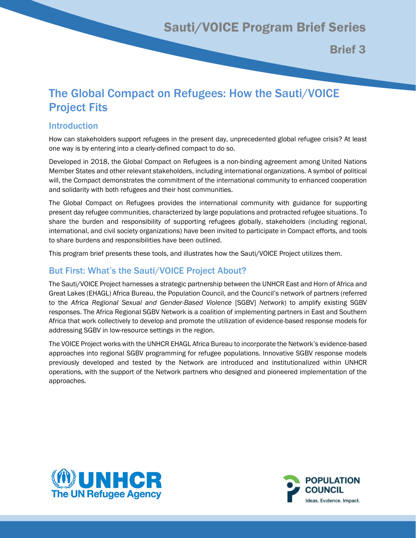Brief 3

# The Global Compact on Refugees: How the Sauti/VOICE Project Fits

## Introduction

How can stakeholders support refugees in the present day, unprecedented global refugee crisis? At least one way is by entering into a clearly-defined compact to do so.

Developed in 2018, the Global Compact on Refugees is a non-binding agreement among United Nations Member States and other relevant stakeholders, including international organizations. A symbol of political will, the Compact demonstrates the commitment of the international community to enhanced cooperation and solidarity with both refugees and their host communities.

The Global Compact on Refugees provides the international community with guidance for supporting present day refugee communities, characterized by large populations and protracted refugee situations. To share the burden and responsibility of supporting refugees globally, stakeholders (including regional, international, and civil society organizations) have been invited to participate in Compact efforts, and tools to share burdens and responsibilities have been outlined.

This program brief presents these tools, and illustrates how the Sauti/VOICE Project utilizes them.

## But First: What's the Sauti/VOICE Project About?

The Sauti/VOICE Project harnesses a strategic partnership between the UNHCR East and Horn of Africa and Great Lakes (EHAGL) Africa Bureau, the Population Council, and the Council's network of partners (referred to the *Africa Regional Sexual and Gender-Based Violence* [SGBV] *Network*) to amplify existing SGBV responses. The Africa Regional SGBV Network is a coalition of implementing partners in East and Southern Africa that work collectively to develop and promote the utilization of evidence-based response models for addressing SGBV in low-resource settings in the region.

The VOICE Project works with the UNHCR EHAGL Africa Bureau to incorporate the Network's evidence-based approaches into regional SGBV programming for refugee populations. Innovative SGBV response models previously developed and tested by the Network are introduced and institutionalized within UNHCR operations, with the support of the Network partners who designed and pioneered implementation of the approaches.



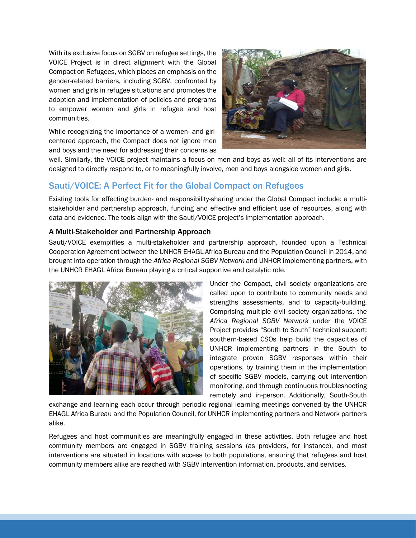With its exclusive focus on SGBV on refugee settings, the VOICE Project is in direct alignment with the Global Compact on Refugees, which places an emphasis on the gender-related barriers, including SGBV, confronted by women and girls in refugee situations and promotes the adoption and implementation of policies and programs to empower women and girls in refugee and host communities.

While recognizing the importance of a women- and girlcentered approach, the Compact does not ignore men and boys and the need for addressing their concerns as



well. Similarly, the VOICE project maintains a focus on men and boys as well: all of its interventions are designed to directly respond to, or to meaningfully involve, men and boys alongside women and girls.

## Sauti/VOICE: A Perfect Fit for the Global Compact on Refugees

Existing tools for effecting burden- and responsibility-sharing under the Global Compact include: a multistakeholder and partnership approach, funding and effective and efficient use of resources, along with data and evidence. The tools align with the Sauti/VOICE project's implementation approach.

#### A Multi-Stakeholder and Partnership Approach

Sauti/VOICE exemplifies a multi-stakeholder and partnership approach, founded upon a Technical Cooperation Agreement between the UNHCR EHAGL Africa Bureau and the Population Council in 2014, and brought into operation through the *Africa Regional SGBV Network* and UNHCR implementing partners, with the UNHCR EHAGL Africa Bureau playing a critical supportive and catalytic role.



Under the Compact, civil society organizations are called upon to contribute to community needs and strengths assessments, and to capacity-building. Comprising multiple civil society organizations, the *Africa Regional SGBV Network* under the VOICE Project provides "South to South" technical support: southern-based CSOs help build the capacities of UNHCR implementing partners in the South to integrate proven SGBV responses within their operations, by training them in the implementation of specific SGBV models, carrying out intervention monitoring, and through continuous troubleshooting remotely and in-person. Additionally, South-South

exchange and learning each occur through periodic regional learning meetings convened by the UNHCR EHAGL Africa Bureau and the Population Council, for UNHCR implementing partners and Network partners alike.

Refugees and host communities are meaningfully engaged in these activities. Both refugee and host community members are engaged in SGBV training sessions (as providers, for instance), and most interventions are situated in locations with access to both populations, ensuring that refugees and host community members alike are reached with SGBV intervention information, products, and services.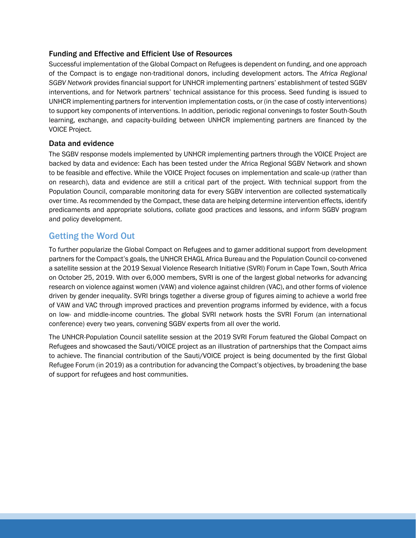#### Funding and Effective and Efficient Use of Resources

Successful implementation of the Global Compact on Refugees is dependent on funding, and one approach of the Compact is to engage non-traditional donors, including development actors. The *Africa Regional SGBV Network* provides financial support for UNHCR implementing partners' establishment of tested SGBV interventions, and for Network partners' technical assistance for this process. Seed funding is issued to UNHCR implementing partners for intervention implementation costs, or (in the case of costly interventions) to support key components of interventions. In addition, periodic regional convenings to foster South-South learning, exchange, and capacity-building between UNHCR implementing partners are financed by the VOICE Project.

#### Data and evidence

The SGBV response models implemented by UNHCR implementing partners through the VOICE Project are backed by data and evidence: Each has been tested under the Africa Regional SGBV Network and shown to be feasible and effective. While the VOICE Project focuses on implementation and scale-up (rather than on research), data and evidence are still a critical part of the project. With technical support from the Population Council, comparable monitoring data for every SGBV intervention are collected systematically over time. As recommended by the Compact, these data are helping determine intervention effects, identify predicaments and appropriate solutions, collate good practices and lessons, and inform SGBV program and policy development.

## Getting the Word Out

To further popularize the Global Compact on Refugees and to garner additional support from development partners for the Compact's goals, the UNHCR EHAGL Africa Bureau and the Population Council co-convened a satellite session at the 2019 Sexual Violence Research Initiative (SVRI) Forum in Cape Town, South Africa on October 25, 2019. With over 6,000 members, SVRI is one of the largest global networks for advancing research on violence against women (VAW) and violence against children (VAC), and other forms of violence driven by gender inequality. SVRI brings together a diverse group of figures aiming to achieve a world free of VAW and VAC through improved practices and prevention programs informed by evidence, with a focus on low- and middle-income countries. The global SVRI network hosts the SVRI Forum (an international conference) every two years, convening SGBV experts from all over the world.

The UNHCR-Population Council satellite session at the 2019 SVRI Forum featured the Global Compact on Refugees and showcased the Sauti/VOICE project as an illustration of partnerships that the Compact aims to achieve. The financial contribution of the Sauti/VOICE project is being documented by the first Global Refugee Forum (in 2019) as a contribution for advancing the Compact's objectives, by broadening the base of support for refugees and host communities.